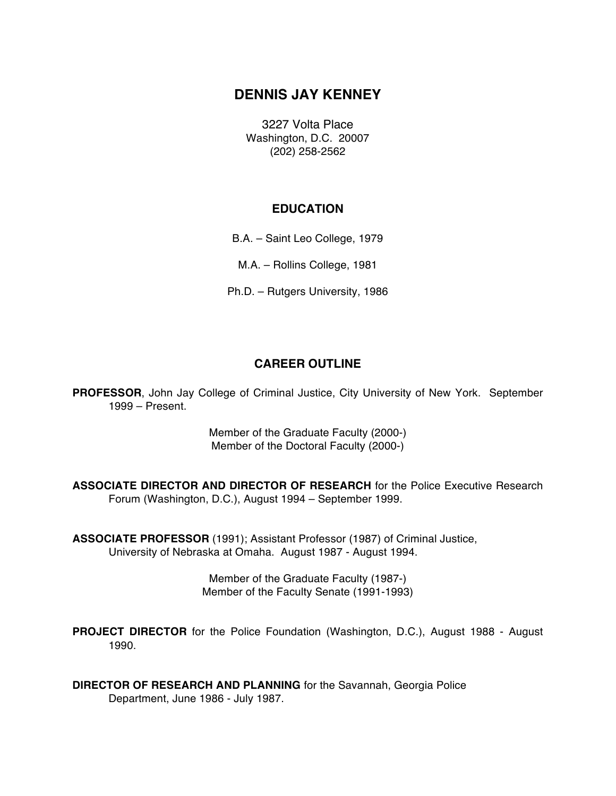# **DENNIS JAY KENNEY**

3227 Volta Place Washington, D.C. 20007 (202) 258-2562

## **EDUCATION**

B.A. – Saint Leo College, 1979

M.A. – Rollins College, 1981

Ph.D. – Rutgers University, 1986

# **CAREER OUTLINE**

**PROFESSOR**, John Jay College of Criminal Justice, City University of New York. September 1999 – Present.

> Member of the Graduate Faculty (2000-) Member of the Doctoral Faculty (2000-)

**ASSOCIATE DIRECTOR AND DIRECTOR OF RESEARCH** for the Police Executive Research Forum (Washington, D.C.), August 1994 – September 1999.

**ASSOCIATE PROFESSOR** (1991); Assistant Professor (1987) of Criminal Justice, University of Nebraska at Omaha. August 1987 - August 1994.

> Member of the Graduate Faculty (1987-) Member of the Faculty Senate (1991-1993)

**PROJECT DIRECTOR** for the Police Foundation (Washington, D.C.), August 1988 - August 1990.

**DIRECTOR OF RESEARCH AND PLANNING** for the Savannah, Georgia Police Department, June 1986 - July 1987.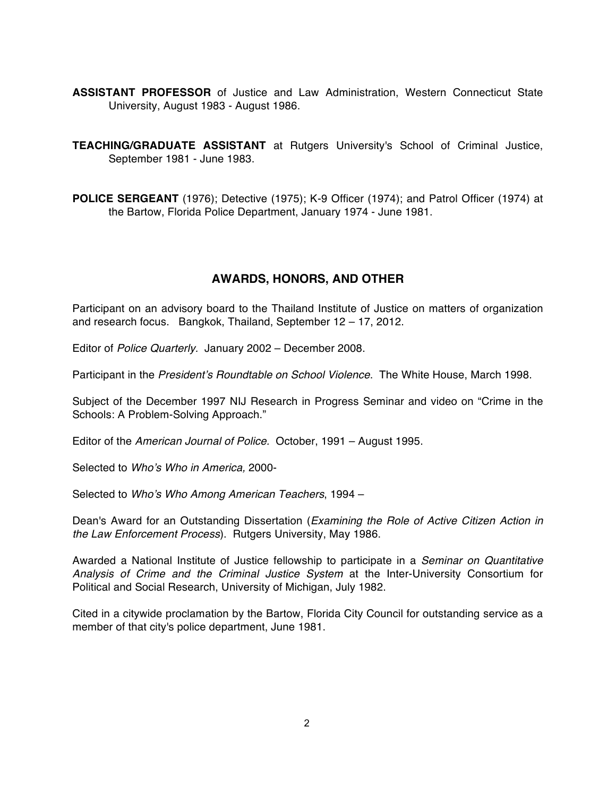- **ASSISTANT PROFESSOR** of Justice and Law Administration, Western Connecticut State University, August 1983 - August 1986.
- **TEACHING/GRADUATE ASSISTANT** at Rutgers University's School of Criminal Justice, September 1981 - June 1983.
- **POLICE SERGEANT** (1976); Detective (1975); K-9 Officer (1974); and Patrol Officer (1974) at the Bartow, Florida Police Department, January 1974 - June 1981.

# **AWARDS, HONORS, AND OTHER**

Participant on an advisory board to the Thailand Institute of Justice on matters of organization and research focus. Bangkok, Thailand, September 12 – 17, 2012.

Editor of *Police Quarterly.* January 2002 – December 2008.

Participant in the *President's Roundtable on School Violence*. The White House, March 1998.

Subject of the December 1997 NIJ Research in Progress Seminar and video on "Crime in the Schools: A Problem-Solving Approach."

Editor of the *American Journal of Police.* October, 1991 – August 1995.

Selected to *Who's Who in America,* 2000-

Selected to *Who's Who Among American Teachers*, 1994 –

Dean's Award for an Outstanding Dissertation (*Examining the Role of Active Citizen Action in the Law Enforcement Process*). Rutgers University, May 1986.

Awarded a National Institute of Justice fellowship to participate in a *Seminar on Quantitative Analysis of Crime and the Criminal Justice System* at the Inter-University Consortium for Political and Social Research, University of Michigan, July 1982.

Cited in a citywide proclamation by the Bartow, Florida City Council for outstanding service as a member of that city's police department, June 1981.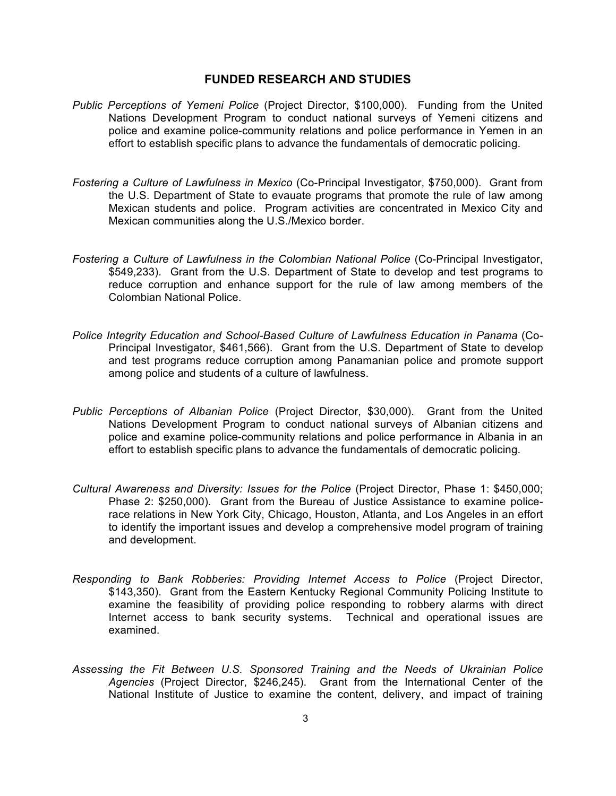### **FUNDED RESEARCH AND STUDIES**

- *Public Perceptions of Yemeni Police* (Project Director, \$100,000). Funding from the United Nations Development Program to conduct national surveys of Yemeni citizens and police and examine police-community relations and police performance in Yemen in an effort to establish specific plans to advance the fundamentals of democratic policing.
- *Fostering a Culture of Lawfulness in Mexico* (Co-Principal Investigator, \$750,000). Grant from the U.S. Department of State to evauate programs that promote the rule of law among Mexican students and police. Program activities are concentrated in Mexico City and Mexican communities along the U.S./Mexico border.
- *Fostering a Culture of Lawfulness in the Colombian National Police* (Co-Principal Investigator, \$549,233). Grant from the U.S. Department of State to develop and test programs to reduce corruption and enhance support for the rule of law among members of the Colombian National Police.
- *Police Integrity Education and School-Based Culture of Lawfulness Education in Panama* (Co-Principal Investigator, \$461,566). Grant from the U.S. Department of State to develop and test programs reduce corruption among Panamanian police and promote support among police and students of a culture of lawfulness.
- *Public Perceptions of Albanian Police* (Project Director, \$30,000). Grant from the United Nations Development Program to conduct national surveys of Albanian citizens and police and examine police-community relations and police performance in Albania in an effort to establish specific plans to advance the fundamentals of democratic policing.
- *Cultural Awareness and Diversity: Issues for the Police* (Project Director, Phase 1: \$450,000; Phase 2: \$250,000). Grant from the Bureau of Justice Assistance to examine policerace relations in New York City, Chicago, Houston, Atlanta, and Los Angeles in an effort to identify the important issues and develop a comprehensive model program of training and development.
- *Responding to Bank Robberies: Providing Internet Access to Police* (Project Director, \$143,350). Grant from the Eastern Kentucky Regional Community Policing Institute to examine the feasibility of providing police responding to robbery alarms with direct Internet access to bank security systems. Technical and operational issues are examined.
- *Assessing the Fit Between U.S. Sponsored Training and the Needs of Ukrainian Police Agencies* (Project Director, \$246,245). Grant from the International Center of the National Institute of Justice to examine the content, delivery, and impact of training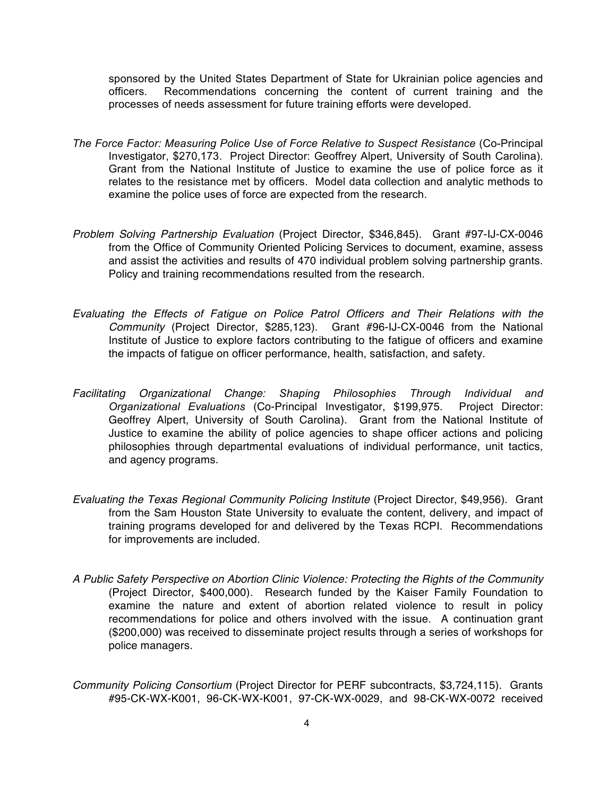sponsored by the United States Department of State for Ukrainian police agencies and officers. Recommendations concerning the content of current training and the processes of needs assessment for future training efforts were developed.

- *The Force Factor: Measuring Police Use of Force Relative to Suspect Resistance* (Co-Principal Investigator, \$270,173. Project Director: Geoffrey Alpert, University of South Carolina). Grant from the National Institute of Justice to examine the use of police force as it relates to the resistance met by officers. Model data collection and analytic methods to examine the police uses of force are expected from the research.
- *Problem Solving Partnership Evaluation* (Project Director, \$346,845). Grant #97-IJ-CX-0046 from the Office of Community Oriented Policing Services to document, examine, assess and assist the activities and results of 470 individual problem solving partnership grants. Policy and training recommendations resulted from the research.
- *Evaluating the Effects of Fatigue on Police Patrol Officers and Their Relations with the Community* (Project Director, \$285,123). Grant #96-IJ-CX-0046 from the National Institute of Justice to explore factors contributing to the fatigue of officers and examine the impacts of fatigue on officer performance, health, satisfaction, and safety.
- *Facilitating Organizational Change: Shaping Philosophies Through Individual and Organizational Evaluations* (Co-Principal Investigator, \$199,975. Project Director: Geoffrey Alpert, University of South Carolina). Grant from the National Institute of Justice to examine the ability of police agencies to shape officer actions and policing philosophies through departmental evaluations of individual performance, unit tactics, and agency programs.
- *Evaluating the Texas Regional Community Policing Institute* (Project Director, \$49,956). Grant from the Sam Houston State University to evaluate the content, delivery, and impact of training programs developed for and delivered by the Texas RCPI. Recommendations for improvements are included.
- *A Public Safety Perspective on Abortion Clinic Violence: Protecting the Rights of the Community* (Project Director, \$400,000). Research funded by the Kaiser Family Foundation to examine the nature and extent of abortion related violence to result in policy recommendations for police and others involved with the issue. A continuation grant (\$200,000) was received to disseminate project results through a series of workshops for police managers.
- *Community Policing Consortium* (Project Director for PERF subcontracts, \$3,724,115). Grants #95-CK-WX-K001, 96-CK-WX-K001, 97-CK-WX-0029, and 98-CK-WX-0072 received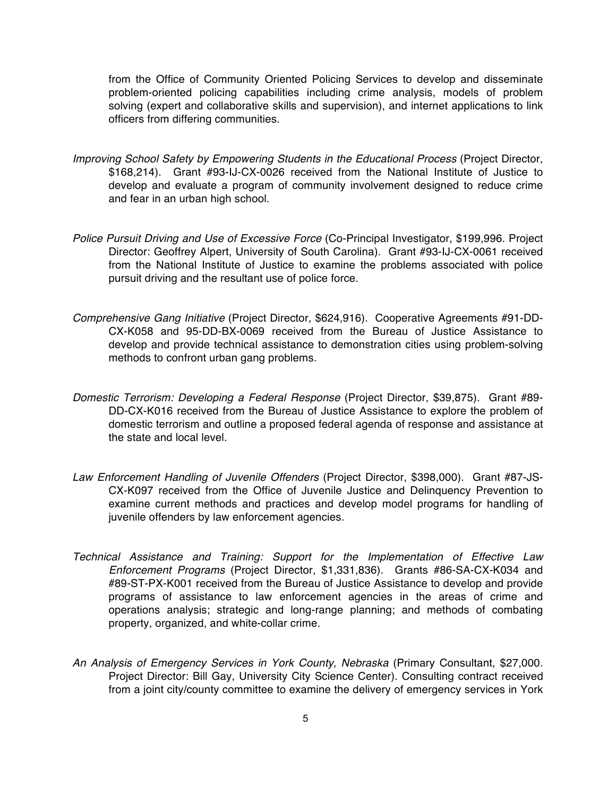from the Office of Community Oriented Policing Services to develop and disseminate problem-oriented policing capabilities including crime analysis, models of problem solving (expert and collaborative skills and supervision), and internet applications to link officers from differing communities.

- *Improving School Safety by Empowering Students in the Educational Process* (Project Director, \$168,214). Grant #93-IJ-CX-0026 received from the National Institute of Justice to develop and evaluate a program of community involvement designed to reduce crime and fear in an urban high school.
- *Police Pursuit Driving and Use of Excessive Force* (Co-Principal Investigator, \$199,996. Project Director: Geoffrey Alpert, University of South Carolina). Grant #93-IJ-CX-0061 received from the National Institute of Justice to examine the problems associated with police pursuit driving and the resultant use of police force.
- *Comprehensive Gang Initiative* (Project Director, \$624,916). Cooperative Agreements #91-DD-CX-K058 and 95-DD-BX-0069 received from the Bureau of Justice Assistance to develop and provide technical assistance to demonstration cities using problem-solving methods to confront urban gang problems.
- *Domestic Terrorism: Developing a Federal Response* (Project Director, \$39,875). Grant #89- DD-CX-K016 received from the Bureau of Justice Assistance to explore the problem of domestic terrorism and outline a proposed federal agenda of response and assistance at the state and local level.
- *Law Enforcement Handling of Juvenile Offenders* (Project Director, \$398,000). Grant #87-JS-CX-K097 received from the Office of Juvenile Justice and Delinquency Prevention to examine current methods and practices and develop model programs for handling of juvenile offenders by law enforcement agencies.
- *Technical Assistance and Training: Support for the Implementation of Effective Law Enforcement Programs* (Project Director, \$1,331,836). Grants #86-SA-CX-K034 and #89-ST-PX-K001 received from the Bureau of Justice Assistance to develop and provide programs of assistance to law enforcement agencies in the areas of crime and operations analysis; strategic and long-range planning; and methods of combating property, organized, and white-collar crime.
- *An Analysis of Emergency Services in York County, Nebraska* (Primary Consultant, \$27,000. Project Director: Bill Gay, University City Science Center). Consulting contract received from a joint city/county committee to examine the delivery of emergency services in York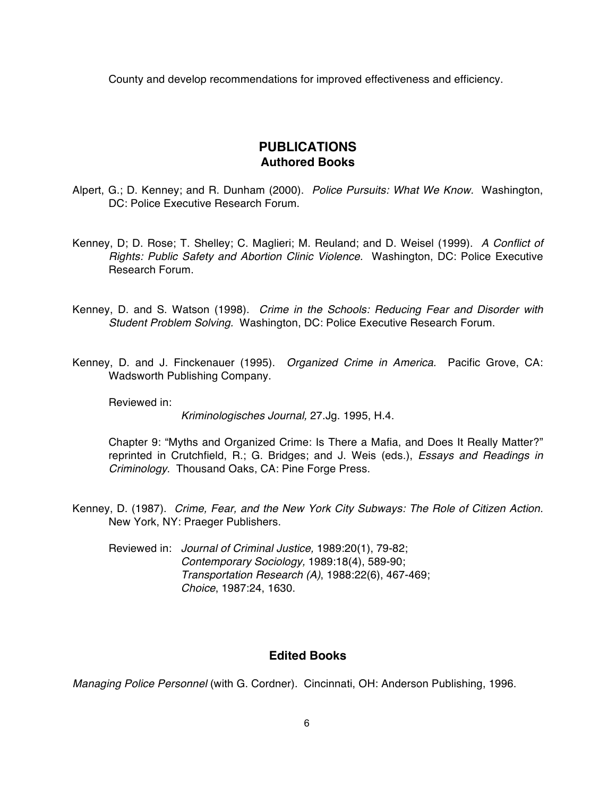County and develop recommendations for improved effectiveness and efficiency.

## **PUBLICATIONS Authored Books**

- Alpert, G.; D. Kenney; and R. Dunham (2000). *Police Pursuits: What We Know.* Washington, DC: Police Executive Research Forum.
- Kenney, D; D. Rose; T. Shelley; C. Maglieri; M. Reuland; and D. Weisel (1999). *A Conflict of Rights: Public Safety and Abortion Clinic Violence.* Washington, DC: Police Executive Research Forum.
- Kenney, D. and S. Watson (1998). *Crime in the Schools: Reducing Fear and Disorder with Student Problem Solving.* Washington, DC: Police Executive Research Forum.
- Kenney, D. and J. Finckenauer (1995). *Organized Crime in America.* Pacific Grove, CA: Wadsworth Publishing Company.

Reviewed in:

*Kriminologisches Journal,* 27.Jg. 1995, H.4.

Chapter 9: "Myths and Organized Crime: Is There a Mafia, and Does It Really Matter?" reprinted in Crutchfield, R.; G. Bridges; and J. Weis (eds.), *Essays and Readings in Criminology*. Thousand Oaks, CA: Pine Forge Press.

- Kenney, D. (1987). *Crime, Fear, and the New York City Subways: The Role of Citizen Action.* New York, NY: Praeger Publishers.
	- Reviewed in: *Journal of Criminal Justice,* 1989:20(1), 79-82; *Contemporary Sociology,* 1989:18(4), 589-90; *Transportation Research (A)*, 1988:22(6), 467-469; *Choice*, 1987:24, 1630.

#### **Edited Books**

*Managing Police Personnel* (with G. Cordner). Cincinnati, OH: Anderson Publishing, 1996.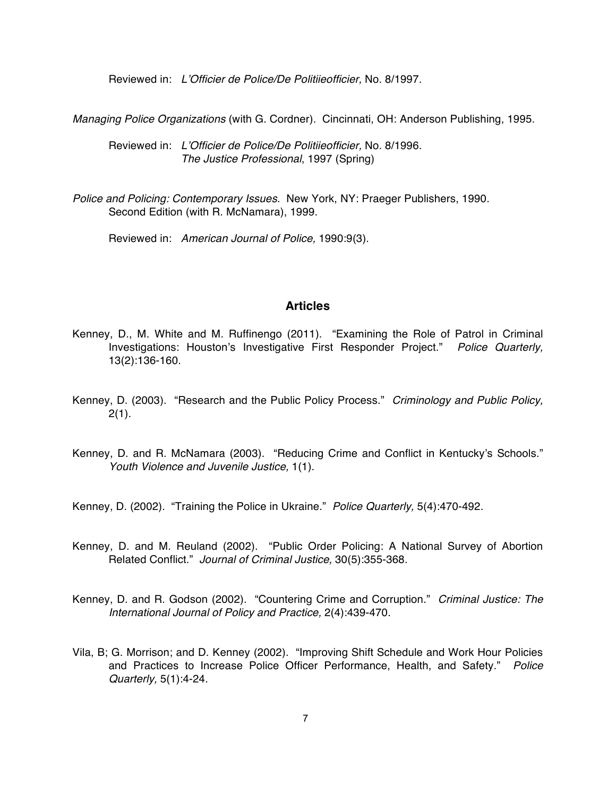Reviewed in: *L'Officier de Police/De Politiieofficier,* No. 8/1997.

*Managing Police Organizations* (with G. Cordner). Cincinnati, OH: Anderson Publishing, 1995.

Reviewed in: *L'Officier de Police/De Politiieofficier,* No. 8/1996. *The Justice Professional*, 1997 (Spring)

*Police and Policing: Contemporary Issues.* New York, NY: Praeger Publishers, 1990. Second Edition (with R. McNamara), 1999.

Reviewed in: *American Journal of Police,* 1990:9(3).

### **Articles**

- Kenney, D., M. White and M. Ruffinengo (2011). "Examining the Role of Patrol in Criminal Investigations: Houston's Investigative First Responder Project." *Police Quarterly,* 13(2):136-160.
- Kenney, D. (2003). "Research and the Public Policy Process." *Criminology and Public Policy,*  $2(1)$ .
- Kenney, D. and R. McNamara (2003). "Reducing Crime and Conflict in Kentucky's Schools." *Youth Violence and Juvenile Justice,* 1(1).

Kenney, D. (2002). "Training the Police in Ukraine." *Police Quarterly,* 5(4):470-492.

- Kenney, D. and M. Reuland (2002). "Public Order Policing: A National Survey of Abortion Related Conflict." *Journal of Criminal Justice,* 30(5):355-368.
- Kenney, D. and R. Godson (2002). "Countering Crime and Corruption." *Criminal Justice: The International Journal of Policy and Practice,* 2(4):439-470.
- Vila, B; G. Morrison; and D. Kenney (2002). "Improving Shift Schedule and Work Hour Policies and Practices to Increase Police Officer Performance, Health, and Safety." *Police Quarterly,* 5(1):4-24.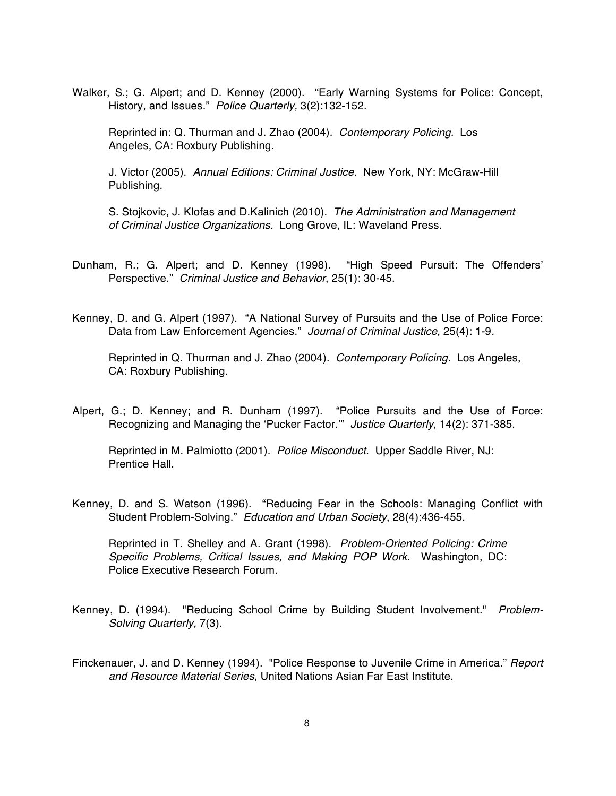Walker, S.; G. Alpert; and D. Kenney (2000). "Early Warning Systems for Police: Concept, History, and Issues." *Police Quarterly,* 3(2):132-152.

Reprinted in: Q. Thurman and J. Zhao (2004). *Contemporary Policing.* Los Angeles, CA: Roxbury Publishing.

J. Victor (2005). *Annual Editions: Criminal Justice.* New York, NY: McGraw-Hill Publishing.

S. Stojkovic, J. Klofas and D.Kalinich (2010). *The Administration and Management of Criminal Justice Organizations.* Long Grove, IL: Waveland Press.

Dunham, R.; G. Alpert; and D. Kenney (1998). "High Speed Pursuit: The Offenders' Perspective." *Criminal Justice and Behavior*, 25(1): 30-45.

Kenney, D. and G. Alpert (1997). "A National Survey of Pursuits and the Use of Police Force: Data from Law Enforcement Agencies." *Journal of Criminal Justice,* 25(4): 1-9*.*

Reprinted in Q. Thurman and J. Zhao (2004). *Contemporary Policing.* Los Angeles, CA: Roxbury Publishing.

Alpert, G.; D. Kenney; and R. Dunham (1997). "Police Pursuits and the Use of Force: Recognizing and Managing the 'Pucker Factor.'" *Justice Quarterly*, 14(2): 371-385.

Reprinted in M. Palmiotto (2001). *Police Misconduct.* Upper Saddle River, NJ: Prentice Hall.

Kenney, D. and S. Watson (1996). "Reducing Fear in the Schools: Managing Conflict with Student Problem-Solving." *Education and Urban Society*, 28(4):436-455.

Reprinted in T. Shelley and A. Grant (1998). *Problem-Oriented Policing: Crime Specific Problems, Critical Issues, and Making POP Work.* Washington, DC: Police Executive Research Forum.

- Kenney, D. (1994). "Reducing School Crime by Building Student Involvement." *Problem-Solving Quarterly,* 7(3).
- Finckenauer, J. and D. Kenney (1994). "Police Response to Juvenile Crime in America." *Report and Resource Material Series*, United Nations Asian Far East Institute.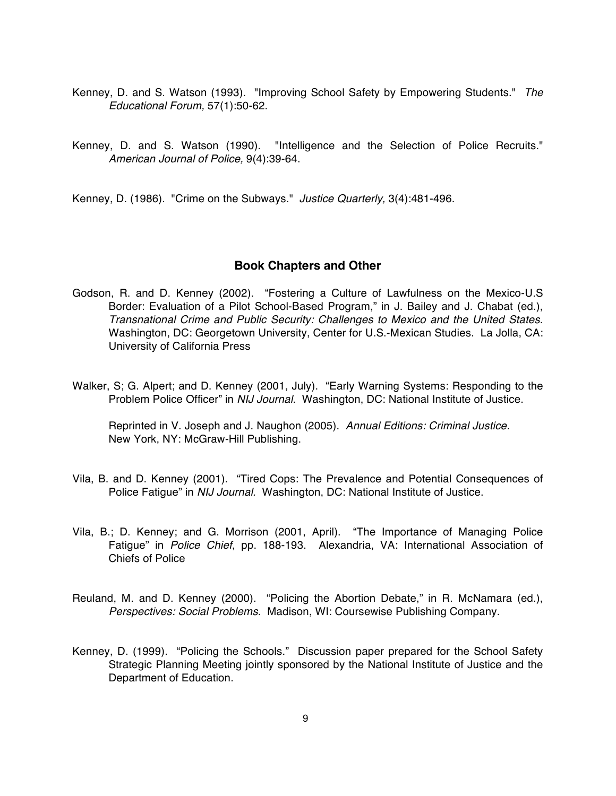- Kenney, D. and S. Watson (1993). "Improving School Safety by Empowering Students." *The Educational Forum,* 57(1):50-62.
- Kenney, D. and S. Watson (1990). "Intelligence and the Selection of Police Recruits." *American Journal of Police,* 9(4):39-64.

Kenney, D. (1986). "Crime on the Subways." *Justice Quarterly,* 3(4):481-496.

#### **Book Chapters and Other**

- Godson, R. and D. Kenney (2002). "Fostering a Culture of Lawfulness on the Mexico-U.S Border: Evaluation of a Pilot School-Based Program," in J. Bailey and J. Chabat (ed.), *Transnational Crime and Public Security: Challenges to Mexico and the United States*. Washington, DC: Georgetown University, Center for U.S.-Mexican Studies. La Jolla, CA: University of California Press
- Walker, S; G. Alpert; and D. Kenney (2001, July). "Early Warning Systems: Responding to the Problem Police Officer" in *NIJ Journal.* Washington, DC: National Institute of Justice.

Reprinted in V. Joseph and J. Naughon (2005). *Annual Editions: Criminal Justice.*  New York, NY: McGraw-Hill Publishing.

- Vila, B. and D. Kenney (2001). "Tired Cops: The Prevalence and Potential Consequences of Police Fatigue" in *NIJ Journal.* Washington, DC: National Institute of Justice.
- Vila, B.; D. Kenney; and G. Morrison (2001, April). "The Importance of Managing Police Fatigue" in *Police Chief*, pp. 188-193. Alexandria, VA: International Association of Chiefs of Police
- Reuland, M. and D. Kenney (2000). "Policing the Abortion Debate," in R. McNamara (ed.), *Perspectives: Social Problems*. Madison, WI: Coursewise Publishing Company.
- Kenney, D. (1999). "Policing the Schools." Discussion paper prepared for the School Safety Strategic Planning Meeting jointly sponsored by the National Institute of Justice and the Department of Education.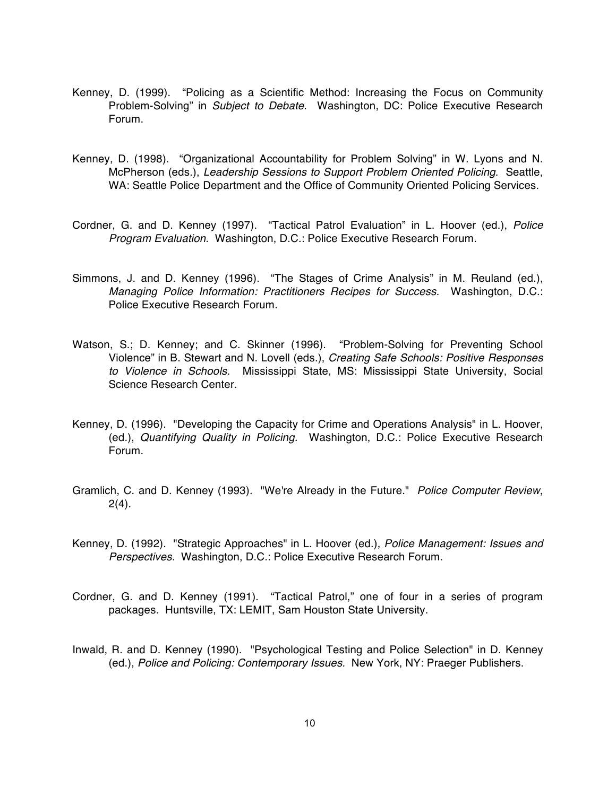- Kenney, D. (1999). "Policing as a Scientific Method: Increasing the Focus on Community Problem-Solving" in *Subject to Debate*. Washington, DC: Police Executive Research Forum.
- Kenney, D. (1998). "Organizational Accountability for Problem Solving" in W. Lyons and N. McPherson (eds.), *Leadership Sessions to Support Problem Oriented Policing*. Seattle, WA: Seattle Police Department and the Office of Community Oriented Policing Services.
- Cordner, G. and D. Kenney (1997). "Tactical Patrol Evaluation" in L. Hoover (ed.), *Police Program Evaluation.* Washington, D.C.: Police Executive Research Forum.
- Simmons, J. and D. Kenney (1996). "The Stages of Crime Analysis" in M. Reuland (ed.), *Managing Police Information: Practitioners Recipes for Success.* Washington, D.C.: Police Executive Research Forum.
- Watson, S.; D. Kenney; and C. Skinner (1996). "Problem-Solving for Preventing School Violence" in B. Stewart and N. Lovell (eds.), *Creating Safe Schools: Positive Responses to Violence in Schools.* Mississippi State, MS: Mississippi State University, Social Science Research Center.
- Kenney, D. (1996). "Developing the Capacity for Crime and Operations Analysis" in L. Hoover, (ed.), *Quantifying Quality in Policing.* Washington, D.C.: Police Executive Research Forum.
- Gramlich, C. and D. Kenney (1993). "We're Already in the Future." *Police Computer Review*,  $2(4)$ .
- Kenney, D. (1992). "Strategic Approaches" in L. Hoover (ed.), *Police Management: Issues and Perspectives.* Washington, D.C.: Police Executive Research Forum.
- Cordner, G. and D. Kenney (1991). "Tactical Patrol," one of four in a series of program packages. Huntsville, TX: LEMIT, Sam Houston State University.
- Inwald, R. and D. Kenney (1990). "Psychological Testing and Police Selection" in D. Kenney (ed.), *Police and Policing: Contemporary Issues.* New York, NY: Praeger Publishers.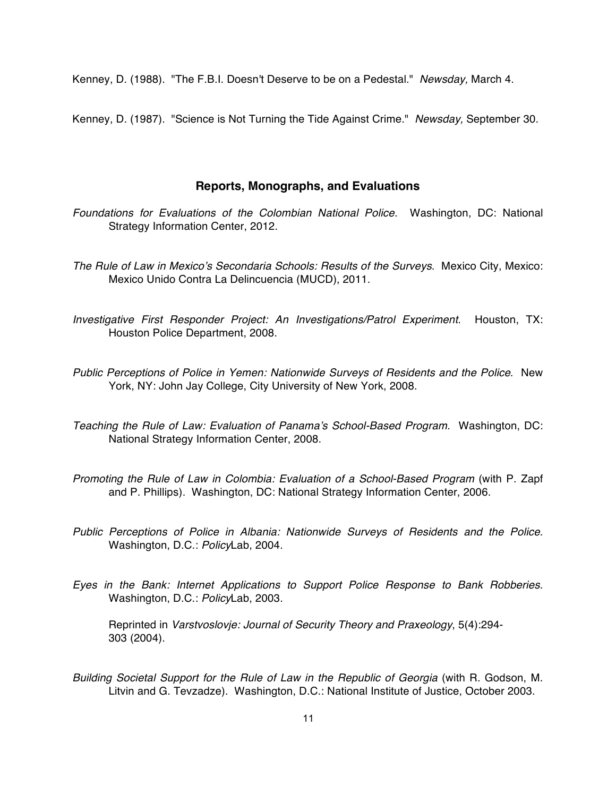Kenney, D. (1988). "The F.B.I. Doesn't Deserve to be on a Pedestal." *Newsday,* March 4.

Kenney, D. (1987). "Science is Not Turning the Tide Against Crime." *Newsday,* September 30.

#### **Reports, Monographs, and Evaluations**

- *Foundations for Evaluations of the Colombian National Police*. Washington, DC: National Strategy Information Center, 2012.
- *The Rule of Law in Mexico's Secondaria Schools: Results of the Surveys*. Mexico City, Mexico: Mexico Unido Contra La Delincuencia (MUCD), 2011.
- *Investigative First Responder Project: An Investigations/Patrol Experiment*. Houston, TX: Houston Police Department, 2008.
- *Public Perceptions of Police in Yemen: Nationwide Surveys of Residents and the Police*. New York, NY: John Jay College, City University of New York, 2008.
- *Teaching the Rule of Law: Evaluation of Panama's School-Based Program.* Washington, DC: National Strategy Information Center, 2008.
- *Promoting the Rule of Law in Colombia: Evaluation of a School-Based Program* (with P. Zapf and P. Phillips)*.* Washington, DC: National Strategy Information Center, 2006.
- *Public Perceptions of Police in Albania: Nationwide Surveys of Residents and the Police*. Washington, D.C.: *Policy*Lab, 2004.
- *Eyes in the Bank: Internet Applications to Support Police Response to Bank Robberies*. Washington, D.C.: *Policy*Lab, 2003.

Reprinted in *Varstvoslovje: Journal of Security Theory and Praxeology*, 5(4):294- 303 (2004).

Building Societal Support for the Rule of Law in the Republic of Georgia (with R. Godson, M. Litvin and G. Tevzadze). Washington, D.C.: National Institute of Justice, October 2003.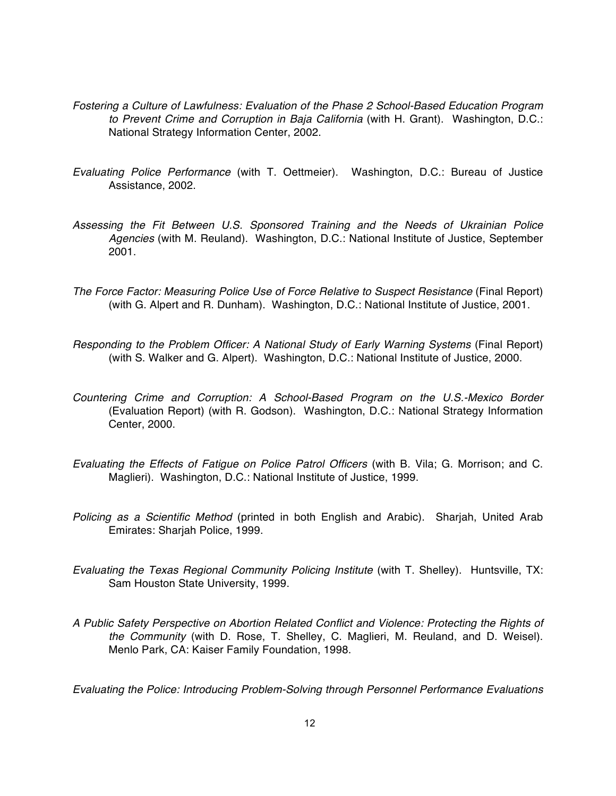- *Fostering a Culture of Lawfulness: Evaluation of the Phase 2 School-Based Education Program to Prevent Crime and Corruption in Baja California* (with H. Grant). Washington, D.C.: National Strategy Information Center, 2002.
- *Evaluating Police Performance* (with T. Oettmeier). Washington, D.C.: Bureau of Justice Assistance, 2002.
- *Assessing the Fit Between U.S. Sponsored Training and the Needs of Ukrainian Police Agencies* (with M. Reuland). Washington, D.C.: National Institute of Justice, September 2001.
- *The Force Factor: Measuring Police Use of Force Relative to Suspect Resistance* (Final Report) (with G. Alpert and R. Dunham). Washington, D.C.: National Institute of Justice, 2001.
- *Responding to the Problem Officer: A National Study of Early Warning Systems (Final Report)* (with S. Walker and G. Alpert). Washington, D.C.: National Institute of Justice, 2000.
- *Countering Crime and Corruption: A School-Based Program on the U.S.-Mexico Border*  (Evaluation Report) (with R. Godson). Washington, D.C.: National Strategy Information Center, 2000.
- *Evaluating the Effects of Fatigue on Police Patrol Officers* (with B. Vila; G. Morrison; and C. Maglieri). Washington, D.C.: National Institute of Justice, 1999.
- *Policing as a Scientific Method* (printed in both English and Arabic). Sharjah, United Arab Emirates: Sharjah Police, 1999.
- *Evaluating the Texas Regional Community Policing Institute* (with T. Shelley). Huntsville, TX: Sam Houston State University, 1999.
- *A Public Safety Perspective on Abortion Related Conflict and Violence: Protecting the Rights of the Community* (with D. Rose, T. Shelley, C. Maglieri, M. Reuland, and D. Weisel). Menlo Park, CA: Kaiser Family Foundation, 1998.

*Evaluating the Police: Introducing Problem-Solving through Personnel Performance Evaluations*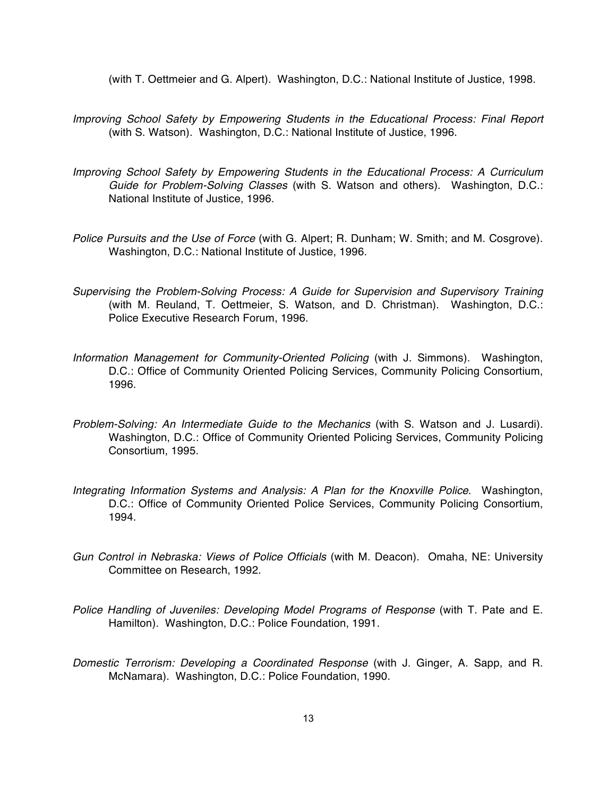(with T. Oettmeier and G. Alpert). Washington, D.C.: National Institute of Justice, 1998.

- *Improving School Safety by Empowering Students in the Educational Process: Final Report*  (with S. Watson). Washington, D.C.: National Institute of Justice, 1996.
- *Improving School Safety by Empowering Students in the Educational Process: A Curriculum Guide for Problem-Solving Classes* (with S. Watson and others). Washington, D.C.: National Institute of Justice, 1996.
- *Police Pursuits and the Use of Force* (with G. Alpert; R. Dunham; W. Smith; and M. Cosgrove). Washington, D.C.: National Institute of Justice, 1996.
- *Supervising the Problem-Solving Process: A Guide for Supervision and Supervisory Training* (with M. Reuland, T. Oettmeier, S. Watson, and D. Christman). Washington, D.C.: Police Executive Research Forum, 1996.
- *Information Management for Community-Oriented Policing* (with J. Simmons). Washington, D.C.: Office of Community Oriented Policing Services, Community Policing Consortium, 1996.
- *Problem-Solving: An Intermediate Guide to the Mechanics* (with S. Watson and J. Lusardi). Washington, D.C.: Office of Community Oriented Policing Services, Community Policing Consortium, 1995.
- *Integrating Information Systems and Analysis: A Plan for the Knoxville Police*. Washington, D.C.: Office of Community Oriented Police Services, Community Policing Consortium, 1994.
- *Gun Control in Nebraska: Views of Police Officials* (with M. Deacon). Omaha, NE: University Committee on Research, 1992.
- *Police Handling of Juveniles: Developing Model Programs of Response* (with T. Pate and E. Hamilton). Washington, D.C.: Police Foundation, 1991.
- *Domestic Terrorism: Developing a Coordinated Response* (with J. Ginger, A. Sapp, and R. McNamara). Washington, D.C.: Police Foundation, 1990.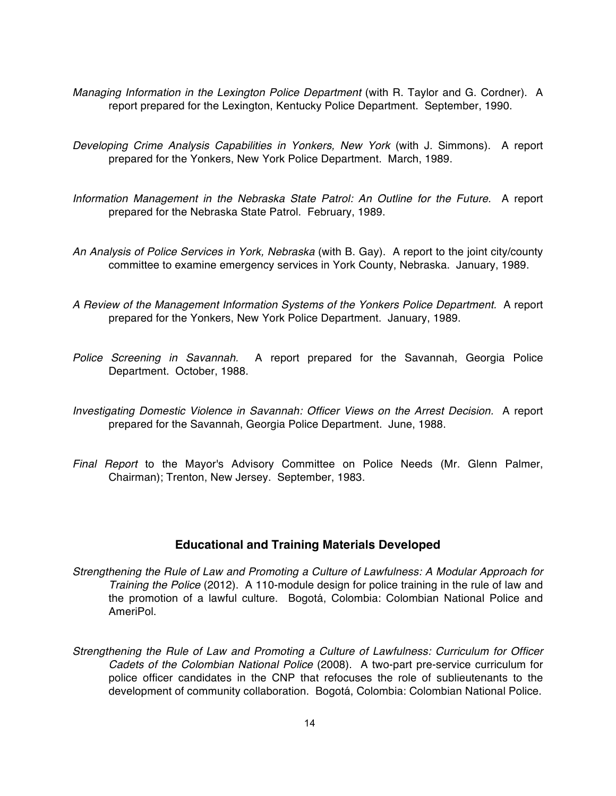- *Managing Information in the Lexington Police Department* (with R. Taylor and G. Cordner). A report prepared for the Lexington, Kentucky Police Department. September, 1990.
- *Developing Crime Analysis Capabilities in Yonkers, New York* (with J. Simmons). A report prepared for the Yonkers, New York Police Department. March, 1989.
- *Information Management in the Nebraska State Patrol: An Outline for the Future.* A report prepared for the Nebraska State Patrol. February, 1989.
- *An Analysis of Police Services in York, Nebraska* (with B. Gay). A report to the joint city/county committee to examine emergency services in York County, Nebraska. January, 1989.
- *A Review of the Management Information Systems of the Yonkers Police Department.* A report prepared for the Yonkers, New York Police Department. January, 1989.
- *Police Screening in Savannah.* A report prepared for the Savannah, Georgia Police Department. October, 1988.
- *Investigating Domestic Violence in Savannah: Officer Views on the Arrest Decision.* A report prepared for the Savannah, Georgia Police Department. June, 1988.
- *Final Report* to the Mayor's Advisory Committee on Police Needs (Mr. Glenn Palmer, Chairman); Trenton, New Jersey. September, 1983.

#### **Educational and Training Materials Developed**

- *Strengthening the Rule of Law and Promoting a Culture of Lawfulness: A Modular Approach for Training the Police* (2012). A 110-module design for police training in the rule of law and the promotion of a lawful culture. Bogotá, Colombia: Colombian National Police and AmeriPol.
- *Strengthening the Rule of Law and Promoting a Culture of Lawfulness: Curriculum for Officer Cadets of the Colombian National Police* (2008). A two-part pre-service curriculum for police officer candidates in the CNP that refocuses the role of sublieutenants to the development of community collaboration. Bogotá, Colombia: Colombian National Police.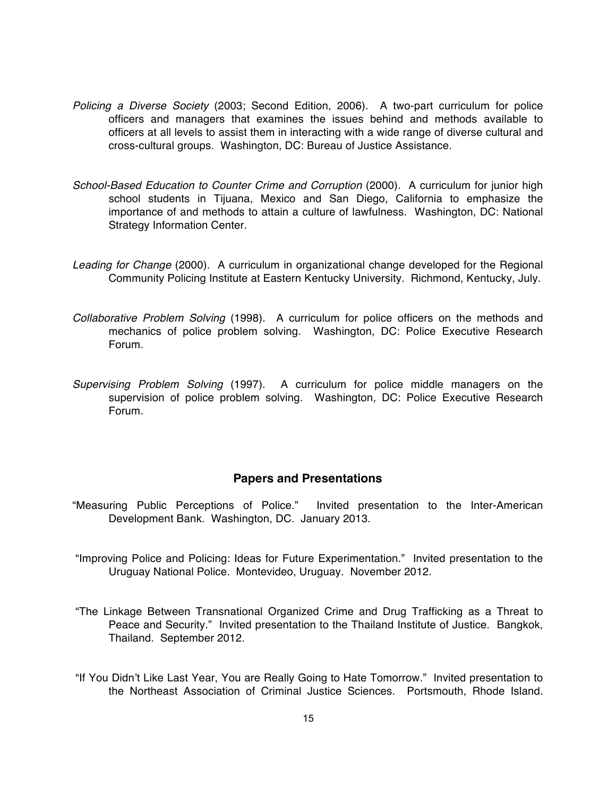- *Policing a Diverse Society* (2003; Second Edition, 2006). A two-part curriculum for police officers and managers that examines the issues behind and methods available to officers at all levels to assist them in interacting with a wide range of diverse cultural and cross-cultural groups. Washington, DC: Bureau of Justice Assistance.
- *School-Based Education to Counter Crime and Corruption* (2000). A curriculum for junior high school students in Tijuana, Mexico and San Diego, California to emphasize the importance of and methods to attain a culture of lawfulness. Washington, DC: National Strategy Information Center.
- *Leading for Change* (2000). A curriculum in organizational change developed for the Regional Community Policing Institute at Eastern Kentucky University. Richmond, Kentucky, July.
- *Collaborative Problem Solving* (1998). A curriculum for police officers on the methods and mechanics of police problem solving. Washington, DC: Police Executive Research Forum.
- *Supervising Problem Solving* (1997). A curriculum for police middle managers on the supervision of police problem solving. Washington, DC: Police Executive Research Forum.

### **Papers and Presentations**

- "Measuring Public Perceptions of Police." Invited presentation to the Inter-American Development Bank. Washington, DC. January 2013.
- "Improving Police and Policing: Ideas for Future Experimentation." Invited presentation to the Uruguay National Police. Montevideo, Uruguay. November 2012.
- "The Linkage Between Transnational Organized Crime and Drug Trafficking as a Threat to Peace and Security." Invited presentation to the Thailand Institute of Justice. Bangkok, Thailand. September 2012.
- "If You Didn't Like Last Year, You are Really Going to Hate Tomorrow." Invited presentation to the Northeast Association of Criminal Justice Sciences. Portsmouth, Rhode Island.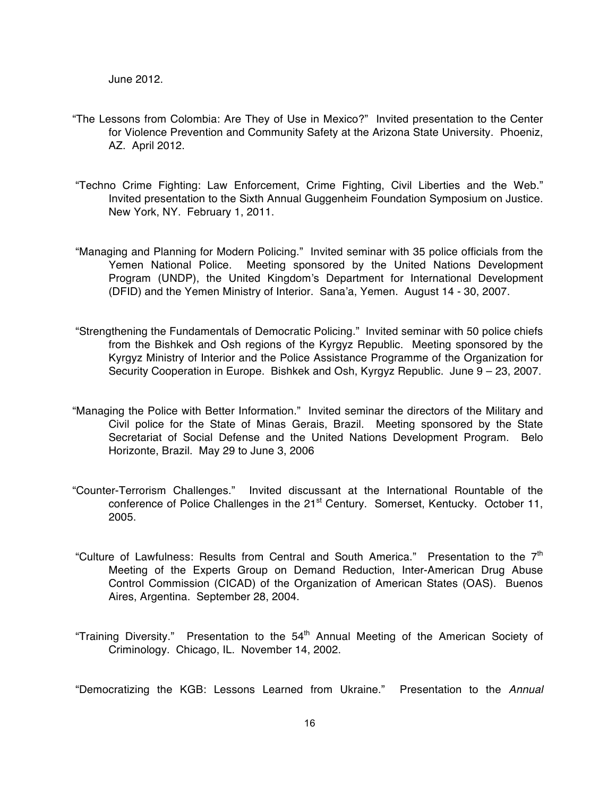- "The Lessons from Colombia: Are They of Use in Mexico?" Invited presentation to the Center for Violence Prevention and Community Safety at the Arizona State University. Phoeniz, AZ. April 2012.
- "Techno Crime Fighting: Law Enforcement, Crime Fighting, Civil Liberties and the Web." Invited presentation to the Sixth Annual Guggenheim Foundation Symposium on Justice. New York, NY. February 1, 2011.
- "Managing and Planning for Modern Policing." Invited seminar with 35 police officials from the Yemen National Police. Meeting sponsored by the United Nations Development Program (UNDP), the United Kingdom's Department for International Development (DFID) and the Yemen Ministry of Interior. Sana'a, Yemen. August 14 - 30, 2007.
- "Strengthening the Fundamentals of Democratic Policing." Invited seminar with 50 police chiefs from the Bishkek and Osh regions of the Kyrgyz Republic. Meeting sponsored by the Kyrgyz Ministry of Interior and the Police Assistance Programme of the Organization for Security Cooperation in Europe. Bishkek and Osh, Kyrgyz Republic. June 9 – 23, 2007.
- "Managing the Police with Better Information." Invited seminar the directors of the Military and Civil police for the State of Minas Gerais, Brazil. Meeting sponsored by the State Secretariat of Social Defense and the United Nations Development Program. Belo Horizonte, Brazil. May 29 to June 3, 2006
- "Counter-Terrorism Challenges." Invited discussant at the International Rountable of the conference of Police Challenges in the 21<sup>st</sup> Century. Somerset, Kentucky. October 11, 2005.
- "Culture of Lawfulness: Results from Central and South America." Presentation to the  $7<sup>th</sup>$ Meeting of the Experts Group on Demand Reduction, Inter-American Drug Abuse Control Commission (CICAD) of the Organization of American States (OAS). Buenos Aires, Argentina. September 28, 2004.
- "Training Diversity." Presentation to the 54<sup>th</sup> Annual Meeting of the American Society of Criminology. Chicago, IL. November 14, 2002.

"Democratizing the KGB: Lessons Learned from Ukraine." Presentation to the *Annual*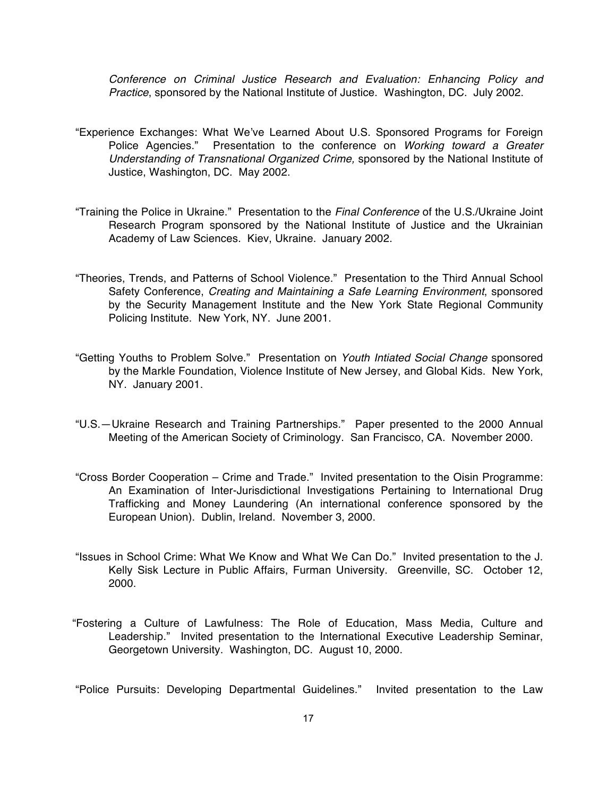*Conference on Criminal Justice Research and Evaluation: Enhancing Policy and Practice*, sponsored by the National Institute of Justice. Washington, DC. July 2002.

- "Experience Exchanges: What We've Learned About U.S. Sponsored Programs for Foreign Police Agencies." Presentation to the conference on *Working toward a Greater Understanding of Transnational Organized Crime,* sponsored by the National Institute of Justice, Washington, DC. May 2002.
- "Training the Police in Ukraine." Presentation to the *Final Conference* of the U.S./Ukraine Joint Research Program sponsored by the National Institute of Justice and the Ukrainian Academy of Law Sciences. Kiev, Ukraine. January 2002.
- "Theories, Trends, and Patterns of School Violence." Presentation to the Third Annual School Safety Conference, *Creating and Maintaining a Safe Learning Environment*, sponsored by the Security Management Institute and the New York State Regional Community Policing Institute. New York, NY. June 2001.
- "Getting Youths to Problem Solve." Presentation on *Youth Intiated Social Change* sponsored by the Markle Foundation, Violence Institute of New Jersey, and Global Kids. New York, NY. January 2001.
- "U.S.—Ukraine Research and Training Partnerships." Paper presented to the 2000 Annual Meeting of the American Society of Criminology. San Francisco, CA. November 2000.
- "Cross Border Cooperation Crime and Trade." Invited presentation to the Oisin Programme: An Examination of Inter-Jurisdictional Investigations Pertaining to International Drug Trafficking and Money Laundering (An international conference sponsored by the European Union). Dublin, Ireland. November 3, 2000.
- "Issues in School Crime: What We Know and What We Can Do." Invited presentation to the J. Kelly Sisk Lecture in Public Affairs, Furman University. Greenville, SC. October 12, 2000.
- "Fostering a Culture of Lawfulness: The Role of Education, Mass Media, Culture and Leadership." Invited presentation to the International Executive Leadership Seminar, Georgetown University. Washington, DC. August 10, 2000.

"Police Pursuits: Developing Departmental Guidelines." Invited presentation to the Law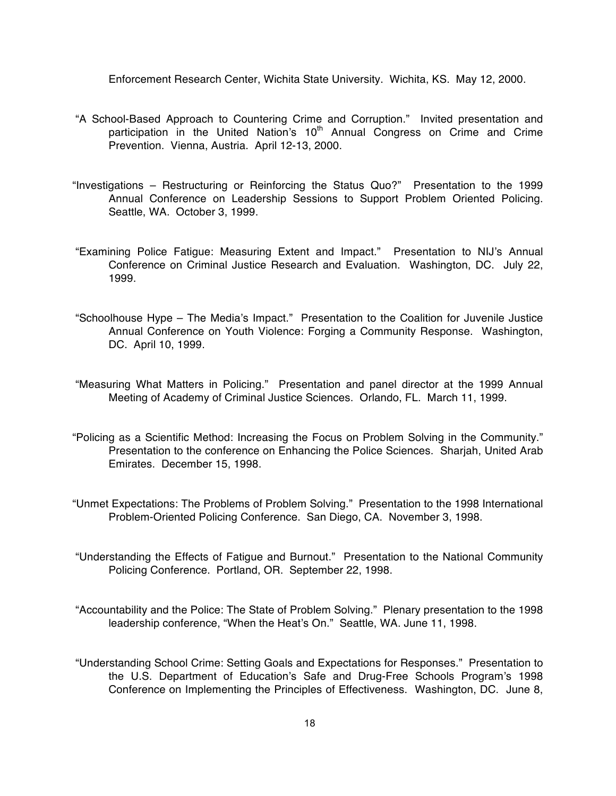Enforcement Research Center, Wichita State University. Wichita, KS. May 12, 2000.

- "A School-Based Approach to Countering Crime and Corruption." Invited presentation and participation in the United Nation's 10<sup>th</sup> Annual Congress on Crime and Crime Prevention. Vienna, Austria. April 12-13, 2000.
- "Investigations Restructuring or Reinforcing the Status Quo?" Presentation to the 1999 Annual Conference on Leadership Sessions to Support Problem Oriented Policing. Seattle, WA. October 3, 1999.
- "Examining Police Fatigue: Measuring Extent and Impact." Presentation to NIJ's Annual Conference on Criminal Justice Research and Evaluation. Washington, DC. July 22, 1999.
- "Schoolhouse Hype The Media's Impact." Presentation to the Coalition for Juvenile Justice Annual Conference on Youth Violence: Forging a Community Response. Washington, DC. April 10, 1999.
- "Measuring What Matters in Policing." Presentation and panel director at the 1999 Annual Meeting of Academy of Criminal Justice Sciences. Orlando, FL. March 11, 1999.
- "Policing as a Scientific Method: Increasing the Focus on Problem Solving in the Community." Presentation to the conference on Enhancing the Police Sciences. Sharjah, United Arab Emirates. December 15, 1998.
- "Unmet Expectations: The Problems of Problem Solving." Presentation to the 1998 International Problem-Oriented Policing Conference. San Diego, CA. November 3, 1998.
- "Understanding the Effects of Fatigue and Burnout." Presentation to the National Community Policing Conference. Portland, OR. September 22, 1998.
- "Accountability and the Police: The State of Problem Solving." Plenary presentation to the 1998 leadership conference, "When the Heat's On." Seattle, WA. June 11, 1998.
- "Understanding School Crime: Setting Goals and Expectations for Responses." Presentation to the U.S. Department of Education's Safe and Drug-Free Schools Program's 1998 Conference on Implementing the Principles of Effectiveness. Washington, DC. June 8,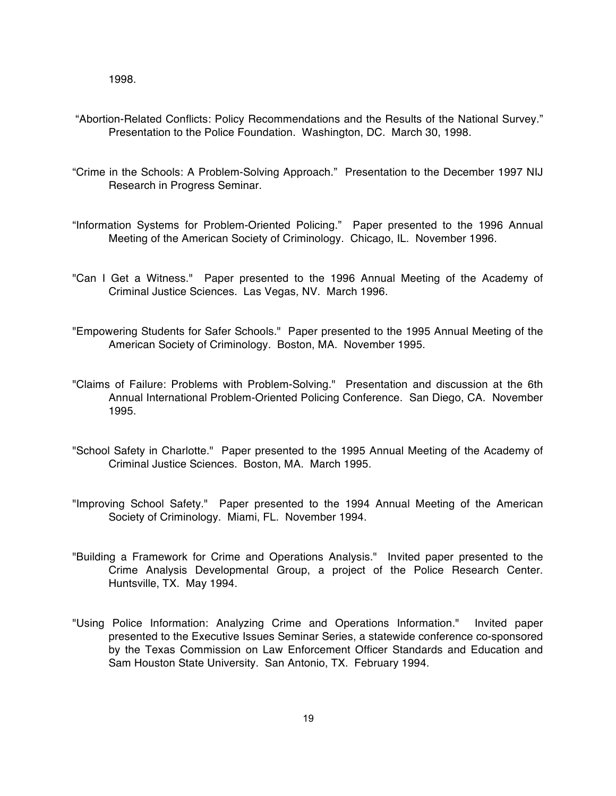1998.

- "Abortion-Related Conflicts: Policy Recommendations and the Results of the National Survey." Presentation to the Police Foundation. Washington, DC. March 30, 1998.
- "Crime in the Schools: A Problem-Solving Approach." Presentation to the December 1997 NIJ Research in Progress Seminar.
- "Information Systems for Problem-Oriented Policing." Paper presented to the 1996 Annual Meeting of the American Society of Criminology. Chicago, IL. November 1996.
- "Can I Get a Witness." Paper presented to the 1996 Annual Meeting of the Academy of Criminal Justice Sciences. Las Vegas, NV. March 1996.
- "Empowering Students for Safer Schools." Paper presented to the 1995 Annual Meeting of the American Society of Criminology. Boston, MA. November 1995.
- "Claims of Failure: Problems with Problem-Solving." Presentation and discussion at the 6th Annual International Problem-Oriented Policing Conference. San Diego, CA. November 1995.
- "School Safety in Charlotte." Paper presented to the 1995 Annual Meeting of the Academy of Criminal Justice Sciences. Boston, MA. March 1995.
- "Improving School Safety." Paper presented to the 1994 Annual Meeting of the American Society of Criminology. Miami, FL. November 1994.
- "Building a Framework for Crime and Operations Analysis." Invited paper presented to the Crime Analysis Developmental Group, a project of the Police Research Center. Huntsville, TX. May 1994.
- "Using Police Information: Analyzing Crime and Operations Information." Invited paper presented to the Executive Issues Seminar Series, a statewide conference co-sponsored by the Texas Commission on Law Enforcement Officer Standards and Education and Sam Houston State University. San Antonio, TX. February 1994.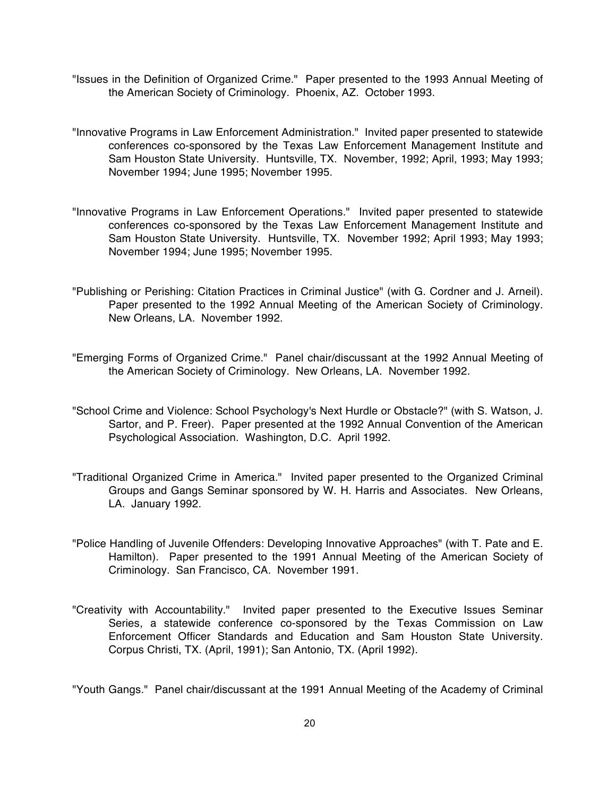- "Issues in the Definition of Organized Crime." Paper presented to the 1993 Annual Meeting of the American Society of Criminology. Phoenix, AZ. October 1993.
- "Innovative Programs in Law Enforcement Administration." Invited paper presented to statewide conferences co-sponsored by the Texas Law Enforcement Management Institute and Sam Houston State University. Huntsville, TX. November, 1992; April, 1993; May 1993; November 1994; June 1995; November 1995.
- "Innovative Programs in Law Enforcement Operations." Invited paper presented to statewide conferences co-sponsored by the Texas Law Enforcement Management Institute and Sam Houston State University. Huntsville, TX. November 1992; April 1993; May 1993; November 1994; June 1995; November 1995.
- "Publishing or Perishing: Citation Practices in Criminal Justice" (with G. Cordner and J. Arneil). Paper presented to the 1992 Annual Meeting of the American Society of Criminology. New Orleans, LA. November 1992.
- "Emerging Forms of Organized Crime." Panel chair/discussant at the 1992 Annual Meeting of the American Society of Criminology. New Orleans, LA. November 1992.
- "School Crime and Violence: School Psychology's Next Hurdle or Obstacle?" (with S. Watson, J. Sartor, and P. Freer). Paper presented at the 1992 Annual Convention of the American Psychological Association. Washington, D.C. April 1992.
- "Traditional Organized Crime in America." Invited paper presented to the Organized Criminal Groups and Gangs Seminar sponsored by W. H. Harris and Associates. New Orleans, LA. January 1992.
- "Police Handling of Juvenile Offenders: Developing Innovative Approaches" (with T. Pate and E. Hamilton). Paper presented to the 1991 Annual Meeting of the American Society of Criminology. San Francisco, CA. November 1991.
- "Creativity with Accountability." Invited paper presented to the Executive Issues Seminar Series, a statewide conference co-sponsored by the Texas Commission on Law Enforcement Officer Standards and Education and Sam Houston State University. Corpus Christi, TX. (April, 1991); San Antonio, TX. (April 1992).

"Youth Gangs." Panel chair/discussant at the 1991 Annual Meeting of the Academy of Criminal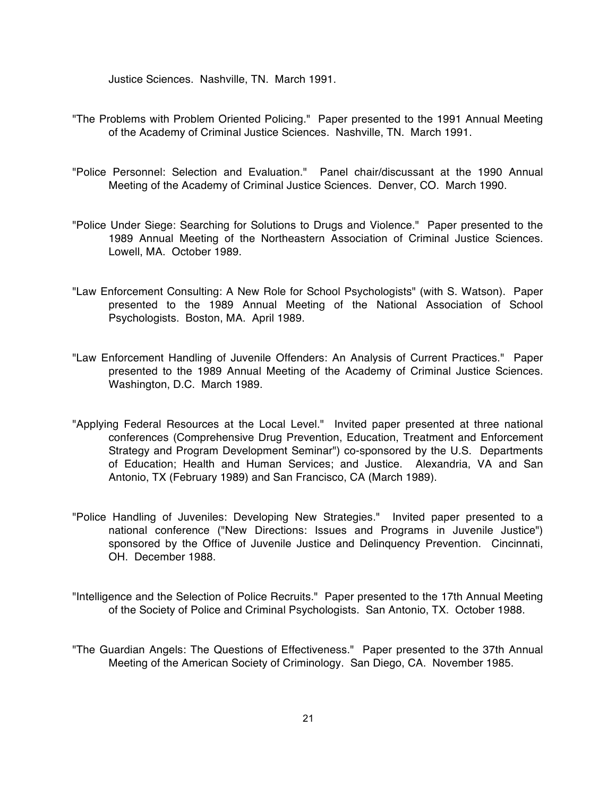Justice Sciences. Nashville, TN. March 1991.

- "The Problems with Problem Oriented Policing." Paper presented to the 1991 Annual Meeting of the Academy of Criminal Justice Sciences. Nashville, TN. March 1991.
- "Police Personnel: Selection and Evaluation." Panel chair/discussant at the 1990 Annual Meeting of the Academy of Criminal Justice Sciences. Denver, CO. March 1990.
- "Police Under Siege: Searching for Solutions to Drugs and Violence." Paper presented to the 1989 Annual Meeting of the Northeastern Association of Criminal Justice Sciences. Lowell, MA. October 1989.
- "Law Enforcement Consulting: A New Role for School Psychologists" (with S. Watson). Paper presented to the 1989 Annual Meeting of the National Association of School Psychologists. Boston, MA. April 1989.
- "Law Enforcement Handling of Juvenile Offenders: An Analysis of Current Practices." Paper presented to the 1989 Annual Meeting of the Academy of Criminal Justice Sciences. Washington, D.C. March 1989.
- "Applying Federal Resources at the Local Level." Invited paper presented at three national conferences (Comprehensive Drug Prevention, Education, Treatment and Enforcement Strategy and Program Development Seminar") co-sponsored by the U.S. Departments of Education; Health and Human Services; and Justice. Alexandria, VA and San Antonio, TX (February 1989) and San Francisco, CA (March 1989).
- "Police Handling of Juveniles: Developing New Strategies." Invited paper presented to a national conference ("New Directions: Issues and Programs in Juvenile Justice") sponsored by the Office of Juvenile Justice and Delinquency Prevention. Cincinnati, OH. December 1988.
- "Intelligence and the Selection of Police Recruits." Paper presented to the 17th Annual Meeting of the Society of Police and Criminal Psychologists. San Antonio, TX. October 1988.
- "The Guardian Angels: The Questions of Effectiveness." Paper presented to the 37th Annual Meeting of the American Society of Criminology. San Diego, CA. November 1985.